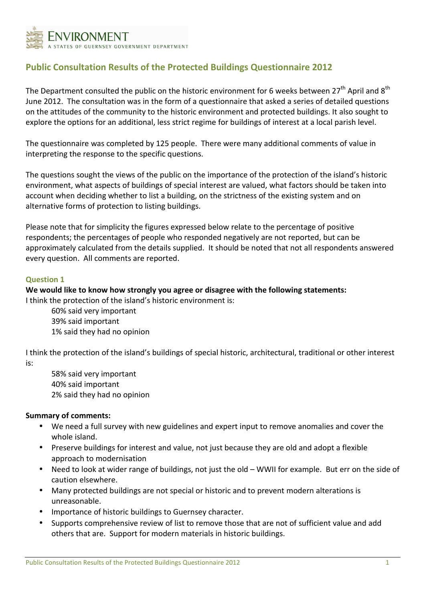

# Public Consultation Results of the Protected Buildings Questionnaire 2012

The Department consulted the public on the historic environment for 6 weeks between  $27<sup>th</sup>$  April and  $8<sup>th</sup>$ June 2012. The consultation was in the form of a questionnaire that asked a series of detailed questions on the attitudes of the community to the historic environment and protected buildings. It also sought to explore the options for an additional, less strict regime for buildings of interest at a local parish level.

The questionnaire was completed by 125 people. There were many additional comments of value in interpreting the response to the specific questions.

The questions sought the views of the public on the importance of the protection of the island's historic environment, what aspects of buildings of special interest are valued, what factors should be taken into account when deciding whether to list a building, on the strictness of the existing system and on alternative forms of protection to listing buildings.

Please note that for simplicity the figures expressed below relate to the percentage of positive respondents; the percentages of people who responded negatively are not reported, but can be approximately calculated from the details supplied. It should be noted that not all respondents answered every question. All comments are reported.

#### Question 1

We would like to know how strongly you agree or disagree with the following statements: I think the protection of the island's historic environment is:

 60% said very important 39% said important 1% said they had no opinion

I think the protection of the island's buildings of special historic, architectural, traditional or other interest is:

 58% said very important 40% said important 2% said they had no opinion

- We need a full survey with new guidelines and expert input to remove anomalies and cover the whole island.
- Preserve buildings for interest and value, not just because they are old and adopt a flexible approach to modernisation
- Need to look at wider range of buildings, not just the old WWII for example. But err on the side of caution elsewhere.
- Many protected buildings are not special or historic and to prevent modern alterations is unreasonable.
- Importance of historic buildings to Guernsey character.
- Supports comprehensive review of list to remove those that are not of sufficient value and add others that are. Support for modern materials in historic buildings.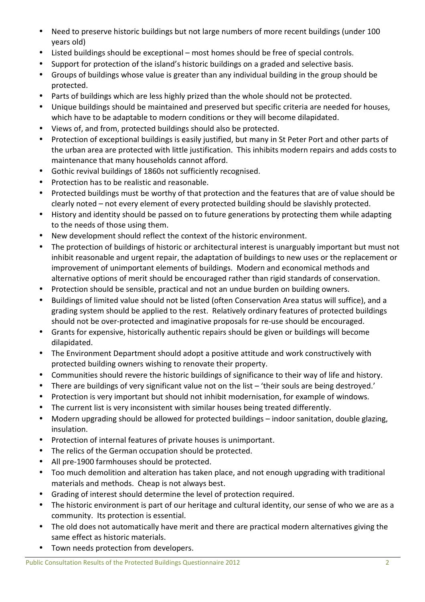- Need to preserve historic buildings but not large numbers of more recent buildings (under 100 years old)
- Listed buildings should be exceptional most homes should be free of special controls.
- Support for protection of the island's historic buildings on a graded and selective basis.
- Groups of buildings whose value is greater than any individual building in the group should be protected.
- Parts of buildings which are less highly prized than the whole should not be protected.
- Unique buildings should be maintained and preserved but specific criteria are needed for houses, which have to be adaptable to modern conditions or they will become dilapidated.
- Views of, and from, protected buildings should also be protected.
- Protection of exceptional buildings is easily justified, but many in St Peter Port and other parts of the urban area are protected with little justification. This inhibits modern repairs and adds costs to maintenance that many households cannot afford.
- Gothic revival buildings of 1860s not sufficiently recognised.
- Protection has to be realistic and reasonable.
- Protected buildings must be worthy of that protection and the features that are of value should be clearly noted – not every element of every protected building should be slavishly protected.
- History and identity should be passed on to future generations by protecting them while adapting to the needs of those using them.
- New development should reflect the context of the historic environment.
- The protection of buildings of historic or architectural interest is unarguably important but must not inhibit reasonable and urgent repair, the adaptation of buildings to new uses or the replacement or improvement of unimportant elements of buildings. Modern and economical methods and alternative options of merit should be encouraged rather than rigid standards of conservation.
- Protection should be sensible, practical and not an undue burden on building owners.
- Buildings of limited value should not be listed (often Conservation Area status will suffice), and a grading system should be applied to the rest. Relatively ordinary features of protected buildings should not be over-protected and imaginative proposals for re-use should be encouraged.
- Grants for expensive, historically authentic repairs should be given or buildings will become dilapidated.
- The Environment Department should adopt a positive attitude and work constructively with protected building owners wishing to renovate their property.
- Communities should revere the historic buildings of significance to their way of life and history.
- There are buildings of very significant value not on the list 'their souls are being destroyed.'
- Protection is very important but should not inhibit modernisation, for example of windows.
- The current list is very inconsistent with similar houses being treated differently.
- Modern upgrading should be allowed for protected buildings indoor sanitation, double glazing, insulation.
- Protection of internal features of private houses is unimportant.
- The relics of the German occupation should be protected.
- All pre-1900 farmhouses should be protected.
- Too much demolition and alteration has taken place, and not enough upgrading with traditional materials and methods. Cheap is not always best.
- Grading of interest should determine the level of protection required.
- The historic environment is part of our heritage and cultural identity, our sense of who we are as a community. Its protection is essential.
- The old does not automatically have merit and there are practical modern alternatives giving the same effect as historic materials.
- Town needs protection from developers.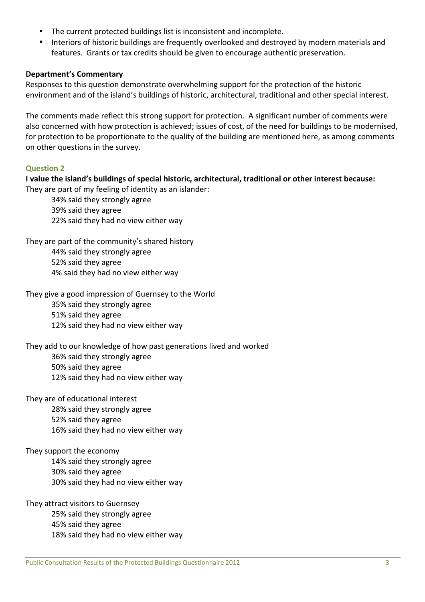- The current protected buildings list is inconsistent and incomplete.
- Interiors of historic buildings are frequently overlooked and destroyed by modern materials and features. Grants or tax credits should be given to encourage authentic preservation.

### Department's Commentary

Responses to this question demonstrate overwhelming support for the protection of the historic environment and of the island's buildings of historic, architectural, traditional and other special interest.

The comments made reflect this strong support for protection. A significant number of comments were also concerned with how protection is achieved; issues of cost, of the need for buildings to be modernised, for protection to be proportionate to the quality of the building are mentioned here, as among comments on other questions in the survey.

### Question 2

I value the island's buildings of special historic, architectural, traditional or other interest because: They are part of my feeling of identity as an islander:

34% said they strongly agree 39% said they agree 22% said they had no view either way

They are part of the community's shared history 44% said they strongly agree 52% said they agree 4% said they had no view either way

They give a good impression of Guernsey to the World

35% said they strongly agree

51% said they agree

12% said they had no view either way

They add to our knowledge of how past generations lived and worked

36% said they strongly agree

50% said they agree 12% said they had no view either way

They are of educational interest

28% said they strongly agree

52% said they agree

16% said they had no view either way

They support the economy

14% said they strongly agree 30% said they agree 30% said they had no view either way

They attract visitors to Guernsey 25% said they strongly agree 45% said they agree 18% said they had no view either way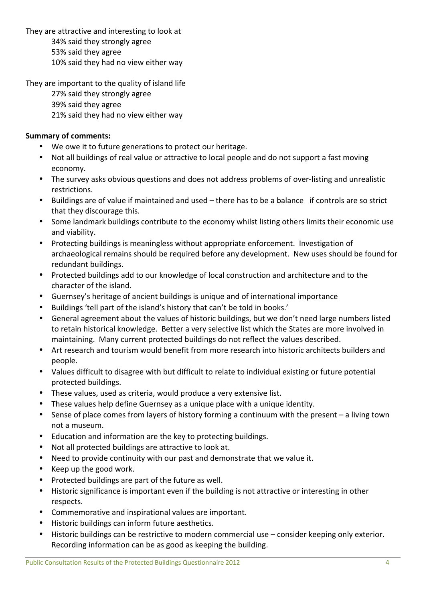They are attractive and interesting to look at

34% said they strongly agree

53% said they agree

10% said they had no view either way

They are important to the quality of island life

27% said they strongly agree 39% said they agree 21% said they had no view either way

- We owe it to future generations to protect our heritage.
- Not all buildings of real value or attractive to local people and do not support a fast moving economy.
- The survey asks obvious questions and does not address problems of over-listing and unrealistic restrictions.
- Buildings are of value if maintained and used there has to be a balance if controls are so strict that they discourage this.
- Some landmark buildings contribute to the economy whilst listing others limits their economic use and viability.
- Protecting buildings is meaningless without appropriate enforcement. Investigation of archaeological remains should be required before any development. New uses should be found for redundant buildings.
- Protected buildings add to our knowledge of local construction and architecture and to the character of the island.
- Guernsey's heritage of ancient buildings is unique and of international importance
- Buildings 'tell part of the island's history that can't be told in books.'
- General agreement about the values of historic buildings, but we don't need large numbers listed to retain historical knowledge. Better a very selective list which the States are more involved in maintaining. Many current protected buildings do not reflect the values described.
- Art research and tourism would benefit from more research into historic architects builders and people.
- Values difficult to disagree with but difficult to relate to individual existing or future potential protected buildings.
- These values, used as criteria, would produce a very extensive list.
- These values help define Guernsey as a unique place with a unique identity.
- Sense of place comes from layers of history forming a continuum with the present a living town not a museum.
- Education and information are the key to protecting buildings.
- Not all protected buildings are attractive to look at.
- Need to provide continuity with our past and demonstrate that we value it.
- Keep up the good work.
- Protected buildings are part of the future as well.
- Historic significance is important even if the building is not attractive or interesting in other respects.
- Commemorative and inspirational values are important.
- Historic buildings can inform future aesthetics.
- Historic buildings can be restrictive to modern commercial use consider keeping only exterior. Recording information can be as good as keeping the building.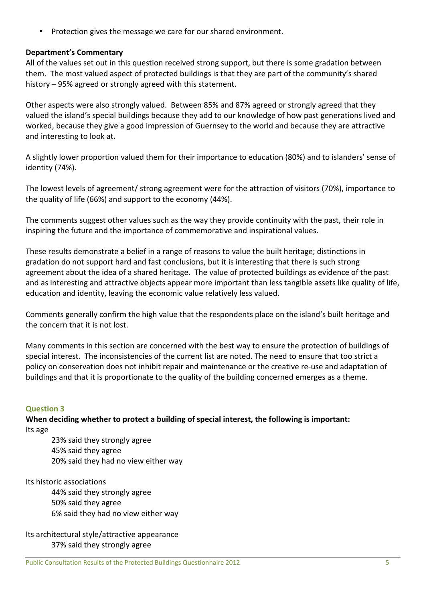• Protection gives the message we care for our shared environment.

#### Department's Commentary

All of the values set out in this question received strong support, but there is some gradation between them. The most valued aspect of protected buildings is that they are part of the community's shared history – 95% agreed or strongly agreed with this statement.

Other aspects were also strongly valued. Between 85% and 87% agreed or strongly agreed that they valued the island's special buildings because they add to our knowledge of how past generations lived and worked, because they give a good impression of Guernsey to the world and because they are attractive and interesting to look at.

A slightly lower proportion valued them for their importance to education (80%) and to islanders' sense of identity (74%).

The lowest levels of agreement/ strong agreement were for the attraction of visitors (70%), importance to the quality of life (66%) and support to the economy (44%).

The comments suggest other values such as the way they provide continuity with the past, their role in inspiring the future and the importance of commemorative and inspirational values.

These results demonstrate a belief in a range of reasons to value the built heritage; distinctions in gradation do not support hard and fast conclusions, but it is interesting that there is such strong agreement about the idea of a shared heritage. The value of protected buildings as evidence of the past and as interesting and attractive objects appear more important than less tangible assets like quality of life, education and identity, leaving the economic value relatively less valued.

Comments generally confirm the high value that the respondents place on the island's built heritage and the concern that it is not lost.

Many comments in this section are concerned with the best way to ensure the protection of buildings of special interest. The inconsistencies of the current list are noted. The need to ensure that too strict a policy on conservation does not inhibit repair and maintenance or the creative re-use and adaptation of buildings and that it is proportionate to the quality of the building concerned emerges as a theme.

#### Question 3

When deciding whether to protect a building of special interest, the following is important: Its age

23% said they strongly agree 45% said they agree 20% said they had no view either way

Its historic associations

44% said they strongly agree 50% said they agree 6% said they had no view either way

Its architectural style/attractive appearance 37% said they strongly agree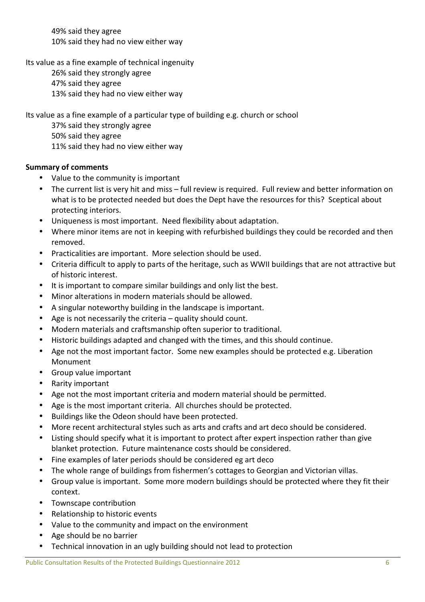49% said they agree 10% said they had no view either way

Its value as a fine example of technical ingenuity

26% said they strongly agree

47% said they agree 13% said they had no view either way

Its value as a fine example of a particular type of building e.g. church or school

37% said they strongly agree 50% said they agree

11% said they had no view either way

- Value to the community is important
- The current list is very hit and miss full review is required. Full review and better information on what is to be protected needed but does the Dept have the resources for this? Sceptical about protecting interiors.
- Uniqueness is most important. Need flexibility about adaptation.
- Where minor items are not in keeping with refurbished buildings they could be recorded and then removed.
- Practicalities are important. More selection should be used.
- Criteria difficult to apply to parts of the heritage, such as WWII buildings that are not attractive but of historic interest.
- It is important to compare similar buildings and only list the best.
- Minor alterations in modern materials should be allowed.
- A singular noteworthy building in the landscape is important.
- Age is not necessarily the criteria  $-$  quality should count.
- Modern materials and craftsmanship often superior to traditional.
- Historic buildings adapted and changed with the times, and this should continue.
- Age not the most important factor. Some new examples should be protected e.g. Liberation Monument
- Group value important
- Rarity important
- Age not the most important criteria and modern material should be permitted.
- Age is the most important criteria. All churches should be protected.
- Buildings like the Odeon should have been protected.
- More recent architectural styles such as arts and crafts and art deco should be considered.
- Listing should specify what it is important to protect after expert inspection rather than give blanket protection. Future maintenance costs should be considered.
- Fine examples of later periods should be considered eg art deco
- The whole range of buildings from fishermen's cottages to Georgian and Victorian villas.
- Group value is important. Some more modern buildings should be protected where they fit their context.
- Townscape contribution
- Relationship to historic events
- Value to the community and impact on the environment
- Age should be no barrier
- Technical innovation in an ugly building should not lead to protection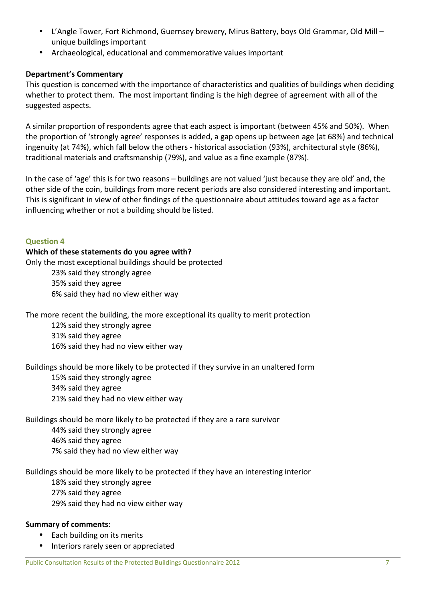- L'Angle Tower, Fort Richmond, Guernsey brewery, Mirus Battery, boys Old Grammar, Old Mill unique buildings important
- Archaeological, educational and commemorative values important

### Department's Commentary

This question is concerned with the importance of characteristics and qualities of buildings when deciding whether to protect them. The most important finding is the high degree of agreement with all of the suggested aspects.

A similar proportion of respondents agree that each aspect is important (between 45% and 50%). When the proportion of 'strongly agree' responses is added, a gap opens up between age (at 68%) and technical ingenuity (at 74%), which fall below the others - historical association (93%), architectural style (86%), traditional materials and craftsmanship (79%), and value as a fine example (87%).

In the case of 'age' this is for two reasons – buildings are not valued 'just because they are old' and, the other side of the coin, buildings from more recent periods are also considered interesting and important. This is significant in view of other findings of the questionnaire about attitudes toward age as a factor influencing whether or not a building should be listed.

#### Question 4

#### Which of these statements do you agree with?

Only the most exceptional buildings should be protected 23% said they strongly agree 35% said they agree 6% said they had no view either way

The more recent the building, the more exceptional its quality to merit protection

12% said they strongly agree 31% said they agree 16% said they had no view either way

Buildings should be more likely to be protected if they survive in an unaltered form

15% said they strongly agree 34% said they agree 21% said they had no view either way

Buildings should be more likely to be protected if they are a rare survivor 44% said they strongly agree 46% said they agree 7% said they had no view either way

Buildings should be more likely to be protected if they have an interesting interior 18% said they strongly agree 27% said they agree

29% said they had no view either way

- Each building on its merits
- Interiors rarely seen or appreciated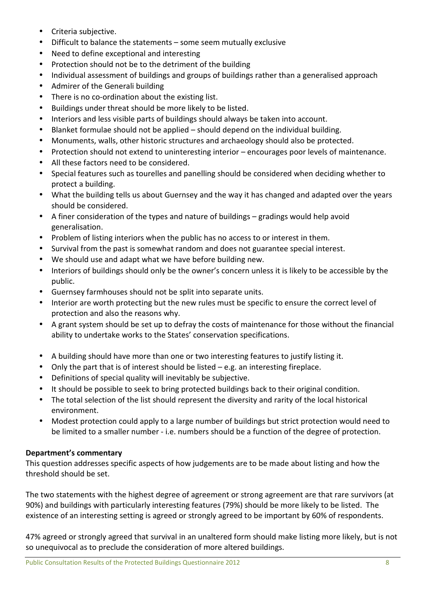- Criteria subjective.
- Difficult to balance the statements some seem mutually exclusive
- Need to define exceptional and interesting
- Protection should not be to the detriment of the building
- Individual assessment of buildings and groups of buildings rather than a generalised approach
- Admirer of the Generali building
- There is no co-ordination about the existing list.
- Buildings under threat should be more likely to be listed.
- Interiors and less visible parts of buildings should always be taken into account.
- Blanket formulae should not be applied should depend on the individual building.
- Monuments, walls, other historic structures and archaeology should also be protected.
- Protection should not extend to uninteresting interior encourages poor levels of maintenance.
- All these factors need to be considered.
- Special features such as tourelles and panelling should be considered when deciding whether to protect a building.
- What the building tells us about Guernsey and the way it has changed and adapted over the years should be considered.
- A finer consideration of the types and nature of buildings gradings would help avoid generalisation.
- Problem of listing interiors when the public has no access to or interest in them.
- Survival from the past is somewhat random and does not guarantee special interest.
- We should use and adapt what we have before building new.
- Interiors of buildings should only be the owner's concern unless it is likely to be accessible by the public.
- Guernsey farmhouses should not be split into separate units.
- Interior are worth protecting but the new rules must be specific to ensure the correct level of protection and also the reasons why.
- A grant system should be set up to defray the costs of maintenance for those without the financial ability to undertake works to the States' conservation specifications.
- A building should have more than one or two interesting features to justify listing it.
- Only the part that is of interest should be listed e.g. an interesting fireplace.
- Definitions of special quality will inevitably be subjective.
- It should be possible to seek to bring protected buildings back to their original condition.
- The total selection of the list should represent the diversity and rarity of the local historical environment.
- Modest protection could apply to a large number of buildings but strict protection would need to be limited to a smaller number - i.e. numbers should be a function of the degree of protection.

### Department's commentary

This question addresses specific aspects of how judgements are to be made about listing and how the threshold should be set.

The two statements with the highest degree of agreement or strong agreement are that rare survivors (at 90%) and buildings with particularly interesting features (79%) should be more likely to be listed. The existence of an interesting setting is agreed or strongly agreed to be important by 60% of respondents.

47% agreed or strongly agreed that survival in an unaltered form should make listing more likely, but is not so unequivocal as to preclude the consideration of more altered buildings.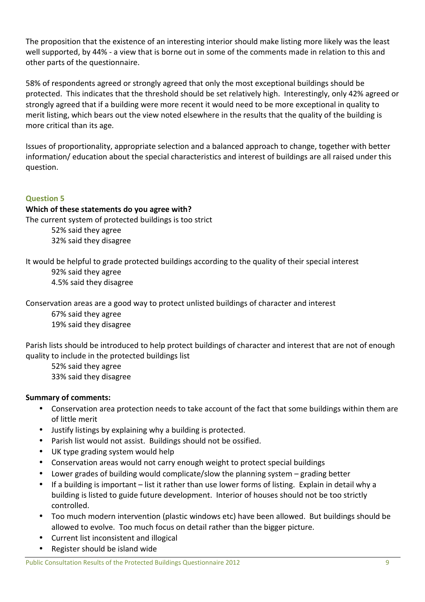The proposition that the existence of an interesting interior should make listing more likely was the least well supported, by 44% - a view that is borne out in some of the comments made in relation to this and other parts of the questionnaire.

58% of respondents agreed or strongly agreed that only the most exceptional buildings should be protected. This indicates that the threshold should be set relatively high. Interestingly, only 42% agreed or strongly agreed that if a building were more recent it would need to be more exceptional in quality to merit listing, which bears out the view noted elsewhere in the results that the quality of the building is more critical than its age.

Issues of proportionality, appropriate selection and a balanced approach to change, together with better information/ education about the special characteristics and interest of buildings are all raised under this question.

## Question 5

### Which of these statements do you agree with?

The current system of protected buildings is too strict

52% said they agree 32% said they disagree

It would be helpful to grade protected buildings according to the quality of their special interest

92% said they agree 4.5% said they disagree

Conservation areas are a good way to protect unlisted buildings of character and interest

67% said they agree 19% said they disagree

Parish lists should be introduced to help protect buildings of character and interest that are not of enough quality to include in the protected buildings list

52% said they agree 33% said they disagree

- Conservation area protection needs to take account of the fact that some buildings within them are of little merit
- Justify listings by explaining why a building is protected.
- Parish list would not assist. Buildings should not be ossified.
- UK type grading system would help
- Conservation areas would not carry enough weight to protect special buildings
- Lower grades of building would complicate/slow the planning system grading better
- If a building is important list it rather than use lower forms of listing. Explain in detail why a building is listed to guide future development. Interior of houses should not be too strictly controlled.
- Too much modern intervention (plastic windows etc) have been allowed. But buildings should be allowed to evolve. Too much focus on detail rather than the bigger picture.
- Current list inconsistent and illogical
- Register should be island wide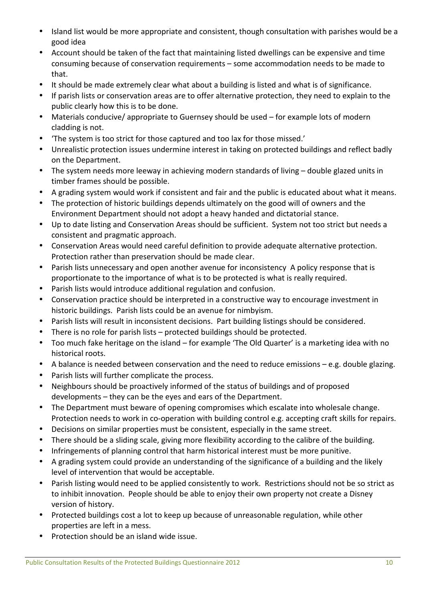- Island list would be more appropriate and consistent, though consultation with parishes would be a good idea
- Account should be taken of the fact that maintaining listed dwellings can be expensive and time consuming because of conservation requirements – some accommodation needs to be made to that.
- It should be made extremely clear what about a building is listed and what is of significance.
- If parish lists or conservation areas are to offer alternative protection, they need to explain to the public clearly how this is to be done.
- Materials conducive/ appropriate to Guernsey should be used for example lots of modern cladding is not.
- 'The system is too strict for those captured and too lax for those missed.'
- Unrealistic protection issues undermine interest in taking on protected buildings and reflect badly on the Department.
- The system needs more leeway in achieving modern standards of living double glazed units in timber frames should be possible.
- A grading system would work if consistent and fair and the public is educated about what it means.
- The protection of historic buildings depends ultimately on the good will of owners and the Environment Department should not adopt a heavy handed and dictatorial stance.
- Up to date listing and Conservation Areas should be sufficient. System not too strict but needs a consistent and pragmatic approach.
- Conservation Areas would need careful definition to provide adequate alternative protection. Protection rather than preservation should be made clear.
- Parish lists unnecessary and open another avenue for inconsistency A policy response that is proportionate to the importance of what is to be protected is what is really required.
- Parish lists would introduce additional regulation and confusion.
- Conservation practice should be interpreted in a constructive way to encourage investment in historic buildings. Parish lists could be an avenue for nimbyism.
- Parish lists will result in inconsistent decisions. Part building listings should be considered.
- There is no role for parish lists protected buildings should be protected.
- Too much fake heritage on the island for example 'The Old Quarter' is a marketing idea with no historical roots.
- A balance is needed between conservation and the need to reduce emissions e.g. double glazing.
- Parish lists will further complicate the process.
- Neighbours should be proactively informed of the status of buildings and of proposed developments – they can be the eyes and ears of the Department.
- The Department must beware of opening compromises which escalate into wholesale change. Protection needs to work in co-operation with building control e.g. accepting craft skills for repairs.
- Decisions on similar properties must be consistent, especially in the same street.
- There should be a sliding scale, giving more flexibility according to the calibre of the building.
- Infringements of planning control that harm historical interest must be more punitive.
- A grading system could provide an understanding of the significance of a building and the likely level of intervention that would be acceptable.
- Parish listing would need to be applied consistently to work. Restrictions should not be so strict as to inhibit innovation. People should be able to enjoy their own property not create a Disney version of history.
- Protected buildings cost a lot to keep up because of unreasonable regulation, while other properties are left in a mess.
- Protection should be an island wide issue.